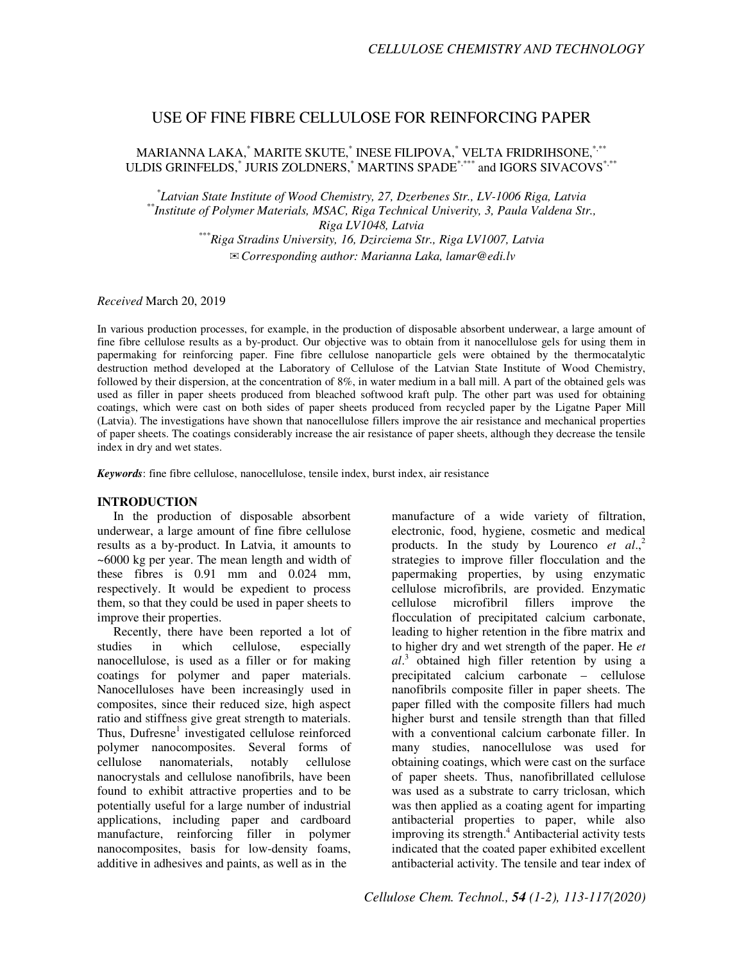# USE OF FINE FIBRE CELLULOSE FOR REINFORCING PAPER

MARIANNA LAKA, $\degree$ MARITE SKUTE, $\degree$ INESE FILIPOVA, $\degree$  VELTA FRIDRIHSONE, $\degree^{***}$ ULDIS GRINFELDS,<sup>\*</sup> JURIS ZOLDNERS,<sup>\*</sup> MARTINS SPADE<sup>\*,\*\*\*</sup> and IGORS SIVACOVS<sup>\*,\*\*</sup>

*\* Latvian State Institute of Wood Chemistry, 27, Dzerbenes Str., LV-1006 Riga, Latvia \*\*Institute of Polymer Materials, MSAC, Riga Technical Univerity, 3, Paula Valdena Str., Riga LV1048, Latvia \*\*\*Riga Stradins University, 16, Dzirciema Str., Riga LV1007, Latvia*  ✉*Corresponding author: Marianna Laka, lamar@edi.lv* 

*Received* March 20, 2019

In various production processes, for example, in the production of disposable absorbent underwear, a large amount of fine fibre cellulose results as a by-product. Our objective was to obtain from it nanocellulose gels for using them in papermaking for reinforcing paper. Fine fibre cellulose nanoparticle gels were obtained by the thermocatalytic destruction method developed at the Laboratory of Cellulose of the Latvian State Institute of Wood Chemistry, followed by their dispersion, at the concentration of 8%, in water medium in a ball mill. A part of the obtained gels was used as filler in paper sheets produced from bleached softwood kraft pulp. The other part was used for obtaining coatings, which were cast on both sides of paper sheets produced from recycled paper by the Ligatne Paper Mill (Latvia). The investigations have shown that nanocellulose fillers improve the air resistance and mechanical properties of paper sheets. The coatings considerably increase the air resistance of paper sheets, although they decrease the tensile index in dry and wet states.

*Keywords*: fine fibre cellulose, nanocellulose, tensile index, burst index, air resistance

## **INTRODUCTION**

In the production of disposable absorbent underwear, a large amount of fine fibre cellulose results as a by-product. In Latvia, it amounts to ~6000 kg per year. The mean length and width of these fibres is 0.91 mm and 0.024 mm, respectively. It would be expedient to process them, so that they could be used in paper sheets to improve their properties.

Recently, there have been reported a lot of studies in which cellulose, especially nanocellulose, is used as a filler or for making coatings for polymer and paper materials. Nanocelluloses have been increasingly used in composites, since their reduced size, high aspect ratio and stiffness give great strength to materials. Thus, Dufresne<sup>1</sup> investigated cellulose reinforced polymer nanocomposites. Several forms of cellulose nanomaterials, notably cellulose nanocrystals and cellulose nanofibrils, have been found to exhibit attractive properties and to be potentially useful for a large number of industrial applications, including paper and cardboard manufacture, reinforcing filler in polymer nanocomposites, basis for low-density foams, additive in adhesives and paints, as well as in the

manufacture of a wide variety of filtration, electronic, food, hygiene, cosmetic and medical products. In the study by Lourenco *et al*., 2 strategies to improve filler flocculation and the papermaking properties, by using enzymatic cellulose microfibrils, are provided. Enzymatic cellulose microfibril fillers improve the flocculation of precipitated calcium carbonate, leading to higher retention in the fibre matrix and to higher dry and wet strength of the paper. He *et al*. 3 obtained high filler retention by using a precipitated calcium carbonate – cellulose nanofibrils composite filler in paper sheets. The paper filled with the composite fillers had much higher burst and tensile strength than that filled with a conventional calcium carbonate filler. In many studies, nanocellulose was used for obtaining coatings, which were cast on the surface of paper sheets. Thus, nanofibrillated cellulose was used as a substrate to carry triclosan, which was then applied as a coating agent for imparting antibacterial properties to paper, while also improving its strength.<sup>4</sup> Antibacterial activity tests indicated that the coated paper exhibited excellent antibacterial activity. The tensile and tear index of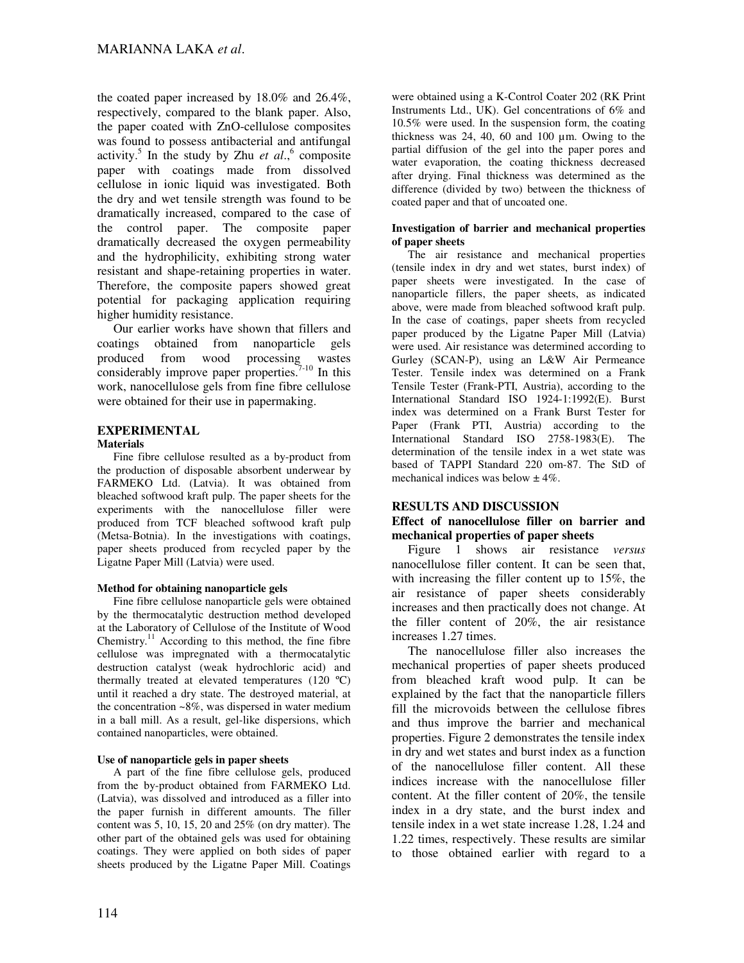the coated paper increased by 18.0% and 26.4%, respectively, compared to the blank paper. Also, the paper coated with ZnO-cellulose composites was found to possess antibacterial and antifungal activity.<sup>5</sup> In the study by Zhu *et al.*,<sup>6</sup> composite paper with coatings made from dissolved cellulose in ionic liquid was investigated. Both the dry and wet tensile strength was found to be dramatically increased, compared to the case of the control paper. The composite paper dramatically decreased the oxygen permeability and the hydrophilicity, exhibiting strong water resistant and shape-retaining properties in water. Therefore, the composite papers showed great potential for packaging application requiring higher humidity resistance.

Our earlier works have shown that fillers and coatings obtained from nanoparticle gels produced from wood processing wastes considerably improve paper properties. $7-10$  In this work, nanocellulose gels from fine fibre cellulose were obtained for their use in papermaking.

# **EXPERIMENTAL**

## **Materials**

Fine fibre cellulose resulted as a by-product from the production of disposable absorbent underwear by FARMEKO Ltd. (Latvia). It was obtained from bleached softwood kraft pulp. The paper sheets for the experiments with the nanocellulose filler were produced from TCF bleached softwood kraft pulp (Metsa-Botnia). In the investigations with coatings, paper sheets produced from recycled paper by the Ligatne Paper Mill (Latvia) were used.

## **Method for obtaining nanoparticle gels**

Fine fibre cellulose nanoparticle gels were obtained by the thermocatalytic destruction method developed at the Laboratory of Cellulose of the Institute of Wood Chemistry. $11$  According to this method, the fine fibre cellulose was impregnated with a thermocatalytic destruction catalyst (weak hydrochloric acid) and thermally treated at elevated temperatures (120 ºC) until it reached a dry state. The destroyed material, at the concentration ~8%, was dispersed in water medium in a ball mill. As a result, gel-like dispersions, which contained nanoparticles, were obtained.

#### **Use of nanoparticle gels in paper sheets**

A part of the fine fibre cellulose gels, produced from the by-product obtained from FARMEKO Ltd. (Latvia), was dissolved and introduced as a filler into the paper furnish in different amounts. The filler content was 5, 10, 15, 20 and 25% (on dry matter). The other part of the obtained gels was used for obtaining coatings. They were applied on both sides of paper sheets produced by the Ligatne Paper Mill. Coatings

were obtained using a K-Control Coater 202 (RK Print Instruments Ltd., UK). Gel concentrations of 6% and 10.5% were used. In the suspension form, the coating thickness was 24, 40, 60 and 100 µm. Owing to the partial diffusion of the gel into the paper pores and water evaporation, the coating thickness decreased after drying. Final thickness was determined as the difference (divided by two) between the thickness of coated paper and that of uncoated one.

#### **Investigation of barrier and mechanical properties of paper sheets**

The air resistance and mechanical properties (tensile index in dry and wet states, burst index) of paper sheets were investigated. In the case of nanoparticle fillers, the paper sheets, as indicated above, were made from bleached softwood kraft pulp. In the case of coatings, paper sheets from recycled paper produced by the Ligatne Paper Mill (Latvia) were used. Air resistance was determined according to Gurley (SCAN-P), using an L&W Air Permeance Tester. Tensile index was determined on a Frank Tensile Tester (Frank-PTI, Austria), according to the International Standard ISO 1924-1:1992(E). Burst index was determined on a Frank Burst Tester for Paper (Frank PTI, Austria) according to the International Standard ISO 2758-1983(E). The determination of the tensile index in a wet state was based of TAPPI Standard 220 om-87. The StD of mechanical indices was below  $\pm$  4%.

## **RESULTS AND DISCUSSION**

# **Effect of nanocellulose filler on barrier and mechanical properties of paper sheets**

Figure 1 shows air resistance *versus* nanocellulose filler content. It can be seen that, with increasing the filler content up to 15%, the air resistance of paper sheets considerably increases and then practically does not change. At the filler content of 20%, the air resistance increases 1.27 times.

The nanocellulose filler also increases the mechanical properties of paper sheets produced from bleached kraft wood pulp. It can be explained by the fact that the nanoparticle fillers fill the microvoids between the cellulose fibres and thus improve the barrier and mechanical properties. Figure 2 demonstrates the tensile index in dry and wet states and burst index as a function of the nanocellulose filler content. All these indices increase with the nanocellulose filler content. At the filler content of 20%, the tensile index in a dry state, and the burst index and tensile index in a wet state increase 1.28, 1.24 and 1.22 times, respectively. These results are similar to those obtained earlier with regard to a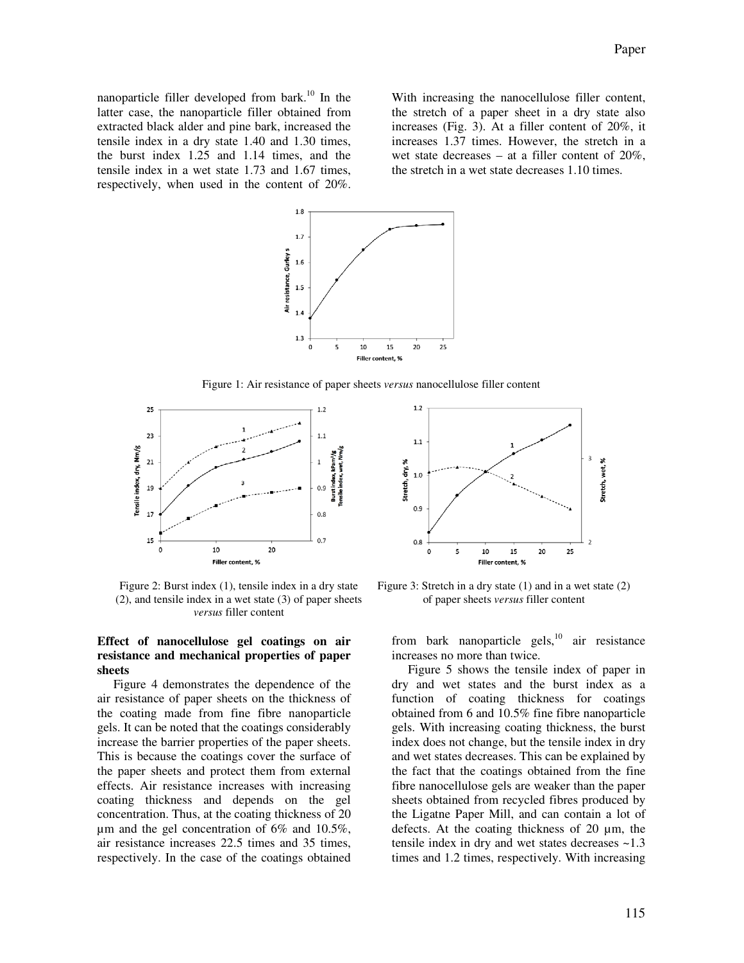nanoparticle filler developed from bark.<sup>10</sup> In the latter case, the nanoparticle filler obtained from extracted black alder and pine bark, increased the tensile index in a dry state 1.40 and 1.30 times, the burst index 1.25 and 1.14 times, and the tensile index in a wet state 1.73 and 1.67 times, respectively, when used in the content of 20%.

With increasing the nanocellulose filler content, the stretch of a paper sheet in a dry state also increases (Fig. 3). At a filler content of 20%, it increases 1.37 times. However, the stretch in a wet state decreases – at a filler content of 20%, the stretch in a wet state decreases 1.10 times.



Figure 1: Air resistance of paper sheets *versus* nanocellulose filler content



Figure 2: Burst index (1), tensile index in a dry state (2), and tensile index in a wet state (3) of paper sheets *versus* filler content

## **Effect of nanocellulose gel coatings on air resistance and mechanical properties of paper sheets**

Figure 4 demonstrates the dependence of the air resistance of paper sheets on the thickness of the coating made from fine fibre nanoparticle gels. It can be noted that the coatings considerably increase the barrier properties of the paper sheets. This is because the coatings cover the surface of the paper sheets and protect them from external effects. Air resistance increases with increasing coating thickness and depends on the gel concentration. Thus, at the coating thickness of 20 µm and the gel concentration of 6% and 10.5%, air resistance increases 22.5 times and 35 times, respectively. In the case of the coatings obtained



Figure 3: Stretch in a dry state (1) and in a wet state (2) of paper sheets *versus* filler content

from bark nanoparticle gels, $^{10}$  air resistance increases no more than twice.

Figure 5 shows the tensile index of paper in dry and wet states and the burst index as a function of coating thickness for coatings obtained from 6 and 10.5% fine fibre nanoparticle gels. With increasing coating thickness, the burst index does not change, but the tensile index in dry and wet states decreases. This can be explained by the fact that the coatings obtained from the fine fibre nanocellulose gels are weaker than the paper sheets obtained from recycled fibres produced by the Ligatne Paper Mill, and can contain a lot of defects. At the coating thickness of 20 µm, the tensile index in dry and wet states decreases  $\sim$ 1.3 times and 1.2 times, respectively. With increasing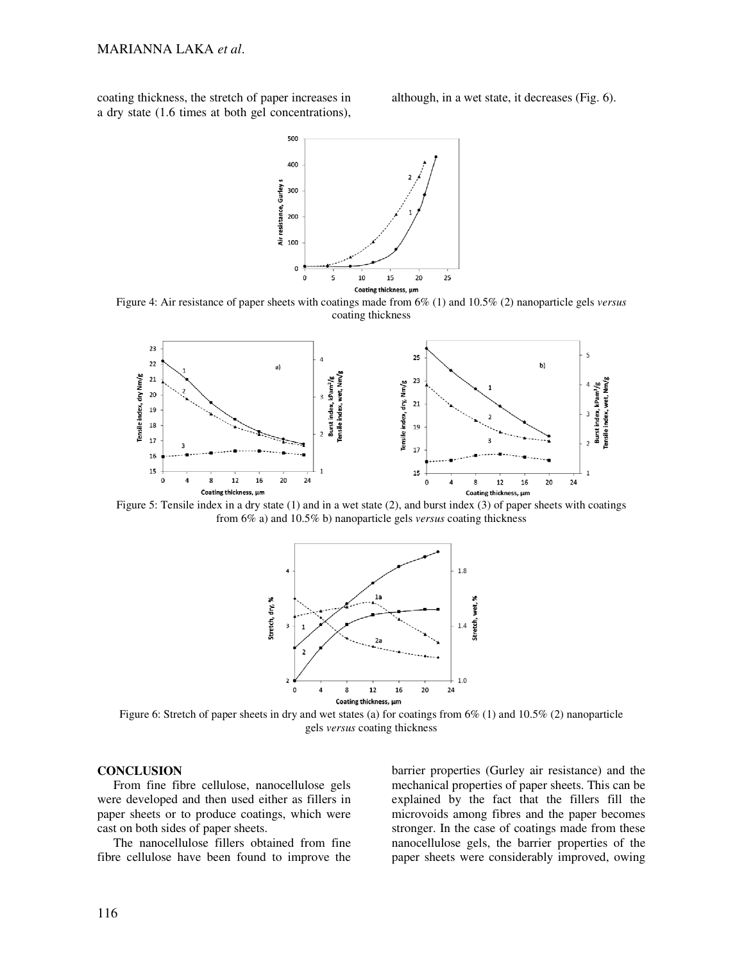coating thickness, the stretch of paper increases in a dry state (1.6 times at both gel concentrations), although, in a wet state, it decreases (Fig. 6).



Figure 4: Air resistance of paper sheets with coatings made from 6% (1) and 10.5% (2) nanoparticle gels *versus* coating thickness



Figure 5: Tensile index in a dry state (1) and in a wet state (2), and burst index (3) of paper sheets with coatings from 6% a) and 10.5% b) nanoparticle gels *versus* coating thickness



Figure 6: Stretch of paper sheets in dry and wet states (a) for coatings from 6% (1) and 10.5% (2) nanoparticle gels *versus* coating thickness

## **CONCLUSION**

From fine fibre cellulose, nanocellulose gels were developed and then used either as fillers in paper sheets or to produce coatings, which were cast on both sides of paper sheets.

The nanocellulose fillers obtained from fine fibre cellulose have been found to improve the

barrier properties (Gurley air resistance) and the mechanical properties of paper sheets. This can be explained by the fact that the fillers fill the microvoids among fibres and the paper becomes stronger. In the case of coatings made from these nanocellulose gels, the barrier properties of the paper sheets were considerably improved, owing